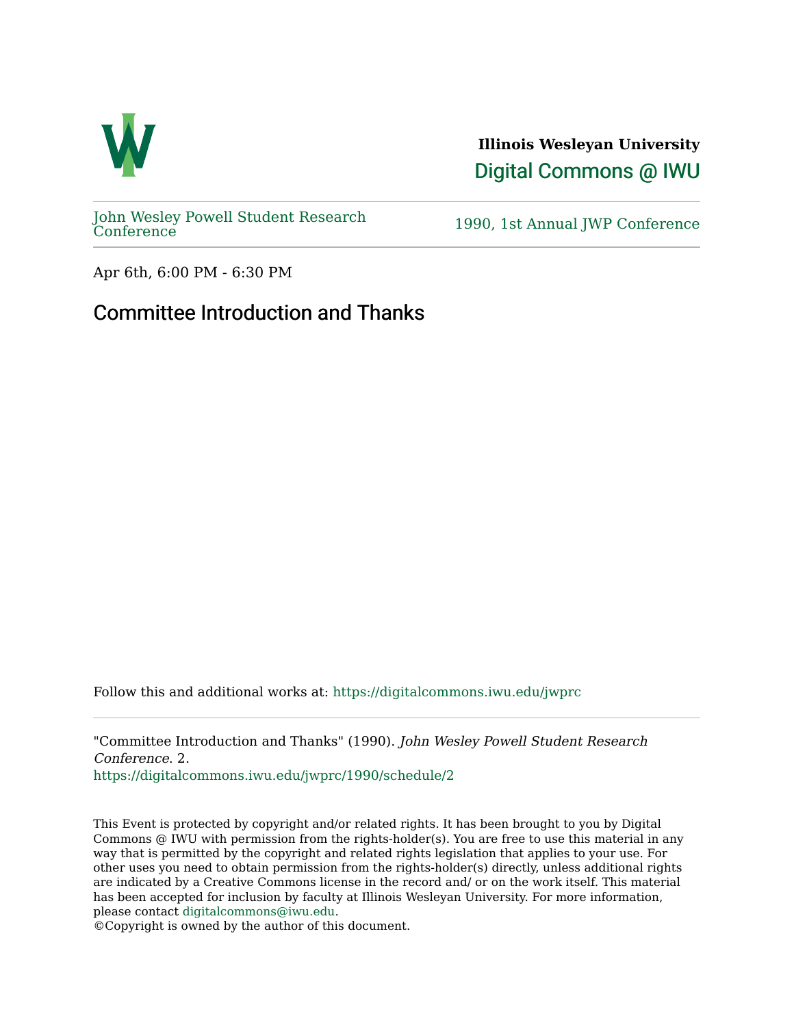

**Illinois Wesleyan University**  [Digital Commons @ IWU](https://digitalcommons.iwu.edu/) 

[John Wesley Powell Student Research](https://digitalcommons.iwu.edu/jwprc) 

1990, 1st Annual JWP [Conference](https://digitalcommons.iwu.edu/jwprc)

Apr 6th, 6:00 PM - 6:30 PM

## Committee Introduction and Thanks

Follow this and additional works at: [https://digitalcommons.iwu.edu/jwprc](https://digitalcommons.iwu.edu/jwprc?utm_source=digitalcommons.iwu.edu%2Fjwprc%2F1990%2Fschedule%2F2&utm_medium=PDF&utm_campaign=PDFCoverPages) 

"Committee Introduction and Thanks" (1990). John Wesley Powell Student Research Conference. 2.

[https://digitalcommons.iwu.edu/jwprc/1990/schedule/2](https://digitalcommons.iwu.edu/jwprc/1990/schedule/2?utm_source=digitalcommons.iwu.edu%2Fjwprc%2F1990%2Fschedule%2F2&utm_medium=PDF&utm_campaign=PDFCoverPages) 

This Event is protected by copyright and/or related rights. It has been brought to you by Digital Commons @ IWU with permission from the rights-holder(s). You are free to use this material in any way that is permitted by the copyright and related rights legislation that applies to your use. For other uses you need to obtain permission from the rights-holder(s) directly, unless additional rights are indicated by a Creative Commons license in the record and/ or on the work itself. This material has been accepted for inclusion by faculty at Illinois Wesleyan University. For more information, please contact [digitalcommons@iwu.edu.](mailto:digitalcommons@iwu.edu)

©Copyright is owned by the author of this document.